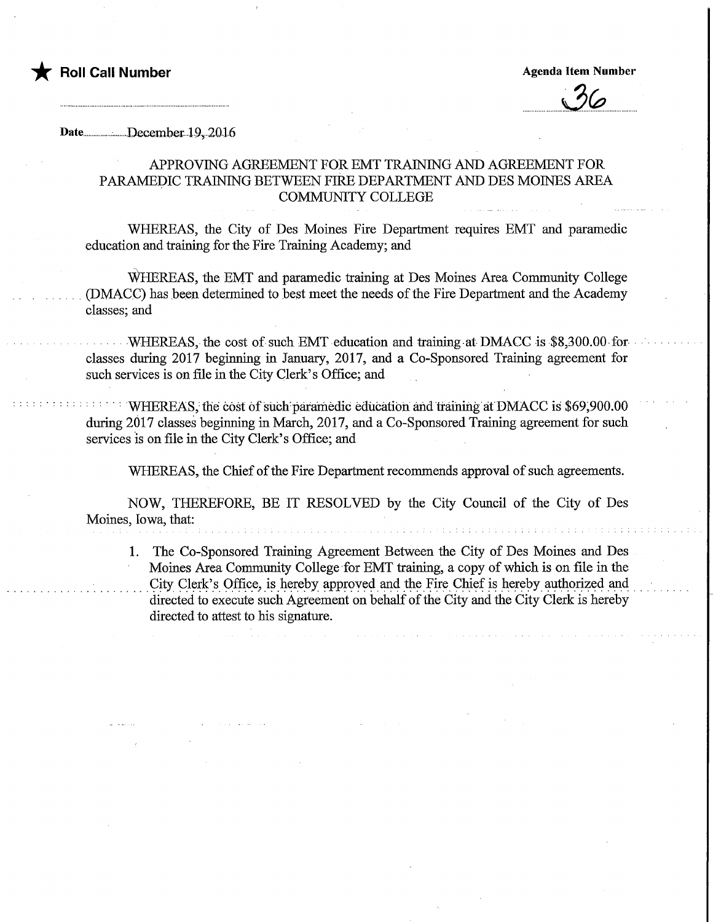

## Date................;......,..December. 19,2016

## APPROVING AGREEMENT FOR EMT TRAINING AND AGREEMENT FOR PARAMEDIC TRAINING BETWEEN FIRE DEPARTMENT AND DES MOINES AREA COMMUNITY COLLEGE

WHEREAS, the City of Des Moines Fire Department requires EMT and paramedic education and training for the Fire Training Academy; and

WHEREAS, the EMT and paramedic training at Des Moines Area Community College (DMACC) has been determined to best meet the needs of the Fire Department and the Academy classes; and

WHEREAS, the cost of such EMT education and traimng at DMACC is \$8,300.00 for classes during 2017 beginning in January, 2017, and a Co-Sponsored Training agreement for such services is on file in the City Clerk's Office; and

WHEREAS; fhe cost of such'paramedic education and training at DMACC is \$69,900.00 during 2017 classes beginning in March, 2017, and a Co-Sponsored Training agreement for such services is on file in the City Clerk's Office; and

WHEREAS, the Chief of the Fire Department recommends approval of such agreements.

NOW, THEREFORE, BE IT RESOLVED by the City Council of the City of Des Moines, Iowa, that:

1. The Co-Sponsored Training Agreement Between the City of Des Moines and Des Moines Area Community College for EMT training, a copy of which is on file in the City Clerk's Office, is hereby approved and the Fire Chief is hereby authorized and directed to execute such Agreement on behalf of the City and the City Clerk is hereby directed to attest to his signature.